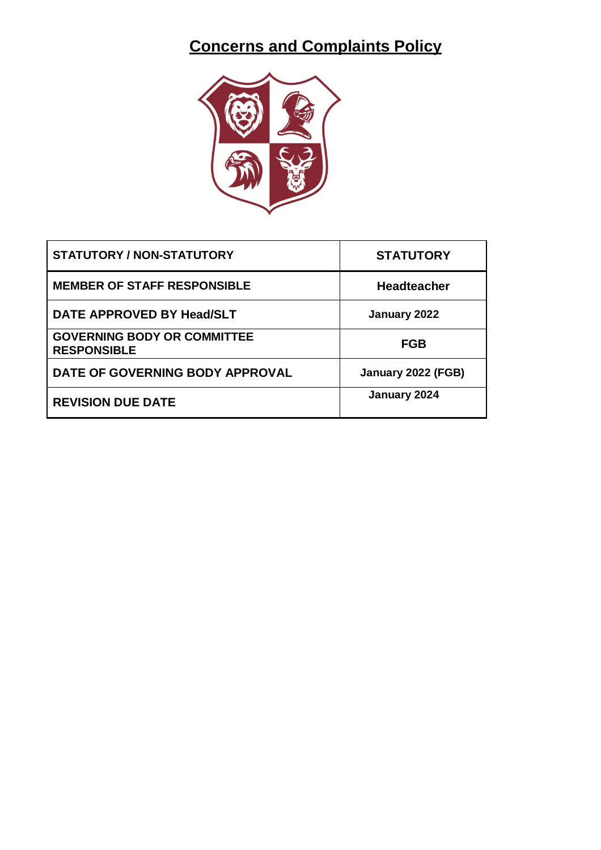# **Concerns and Complaints Policy**



| STATUTORY / NON-STATUTORY                                | <b>STATUTORY</b>   |
|----------------------------------------------------------|--------------------|
| <b>MEMBER OF STAFF RESPONSIBLE</b>                       | <b>Headteacher</b> |
| DATE APPROVED BY Head/SLT                                | January 2022       |
| <b>GOVERNING BODY OR COMMITTEE</b><br><b>RESPONSIBLE</b> | <b>FGB</b>         |
| DATE OF GOVERNING BODY APPROVAL                          | January 2022 (FGB) |
| <b>REVISION DUE DATE</b>                                 | January 2024       |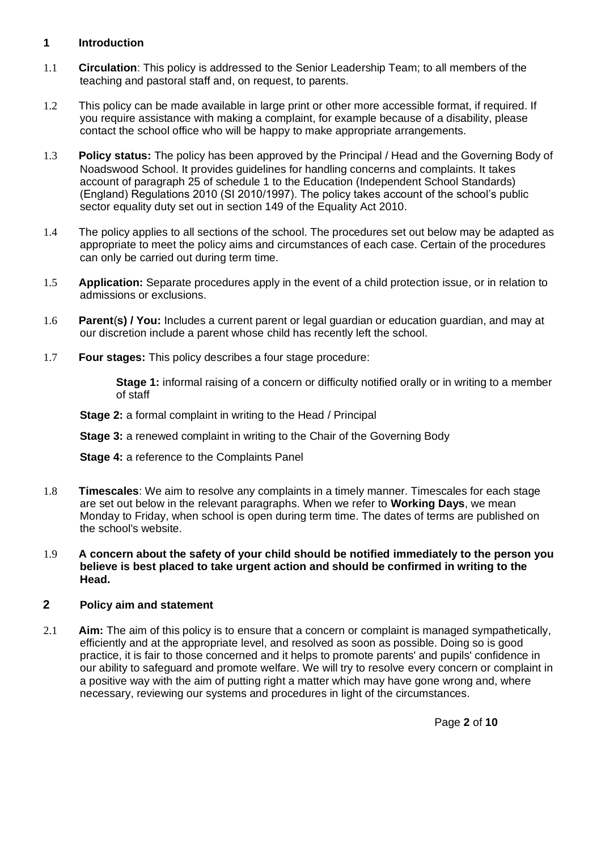#### **1 Introduction**

- 1.1 **Circulation**: This policy is addressed to the Senior Leadership Team; to all members of the teaching and pastoral staff and, on request, to parents.
- 1.2 This policy can be made available in large print or other more accessible format, if required. If you require assistance with making a complaint, for example because of a disability, please contact the school office who will be happy to make appropriate arrangements.
- 1.3 **Policy status:** The policy has been approved by the Principal / Head and the Governing Body of Noadswood School. It provides guidelines for handling concerns and complaints. It takes account of paragraph 25 of schedule 1 to the Education (Independent School Standards) (England) Regulations 2010 (SI 2010/1997). The policy takes account of the school's public sector equality duty set out in section 149 of the Equality Act 2010.
- 1.4 The policy applies to all sections of the school. The procedures set out below may be adapted as appropriate to meet the policy aims and circumstances of each case. Certain of the procedures can only be carried out during term time.
- 1.5 **Application:** Separate procedures apply in the event of a child protection issue, or in relation to admissions or exclusions.
- 1.6 **Parent**(**s) / You:** Includes a current parent or legal guardian or education guardian, and may at our discretion include a parent whose child has recently left the school.
- 1.7 **Four stages:** This policy describes a four stage procedure:

**Stage 1:** informal raising of a concern or difficulty notified orally or in writing to a member of staff

**Stage 2:** a formal complaint in writing to the Head / Principal

**Stage 3:** a renewed complaint in writing to the Chair of the Governing Body

**Stage 4:** a reference to the Complaints Panel

- 1.8 **Timescales**: We aim to resolve any complaints in a timely manner. Timescales for each stage are set out below in the relevant paragraphs. When we refer to **Working Days**, we mean Monday to Friday, when school is open during term time. The dates of terms are published on the school's website.
- 1.9 **A concern about the safety of your child should be notified immediately to the person you believe is best placed to take urgent action and should be confirmed in writing to the Head.**

#### **2 Policy aim and statement**

2.1 **Aim:** The aim of this policy is to ensure that a concern or complaint is managed sympathetically, efficiently and at the appropriate level, and resolved as soon as possible. Doing so is good practice, it is fair to those concerned and it helps to promote parents' and pupils' confidence in our ability to safeguard and promote welfare. We will try to resolve every concern or complaint in a positive way with the aim of putting right a matter which may have gone wrong and, where necessary, reviewing our systems and procedures in light of the circumstances.

Page **2** of **10**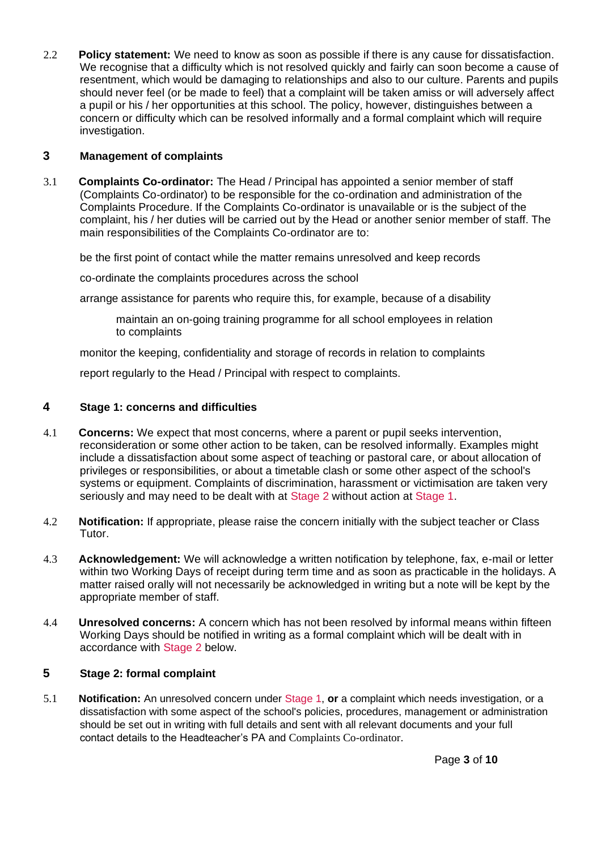<span id="page-2-0"></span>2.2 **Policy statement:** We need to know as soon as possible if there is any cause for dissatisfaction. We recognise that a difficulty which is not resolved quickly and fairly can soon become a cause of resentment, which would be damaging to relationships and also to our culture. Parents and pupils should never feel (or be made to feel) that a complaint will be taken amiss or will adversely affect a pupil or his / her opportunities at this school. The policy, however, distinguishes between a concern or difficulty which can be resolved informally and a formal complaint which will require investigation.

#### **3 Management of complaints**

3.1 **Complaints Co-ordinator:** The Head / Principal has appointed a senior member of staff (Complaints Co-ordinator) to be responsible for the co-ordination and administration of the Complaints Procedure. If the Complaints Co-ordinator is unavailable or is the subject of the complaint, his / her duties will be carried out by the Head or another senior member of staff. The main responsibilities of the Complaints Co-ordinator are to:

be the first point of contact while the matter remains unresolved and keep records

co-ordinate the complaints procedures across the school

arrange assistance for parents who require this, for example, because of a disability

maintain an on-going training programme for all school employees in relation to complaints

monitor the keeping, confidentiality and storage of records in relation to complaints

report regularly to the Head / Principal with respect to complaints.

#### **4 Stage 1: concerns and difficulties**

- 4.1 **Concerns:** We expect that most concerns, where a parent or pupil seeks intervention, reconsideration or some other action to be taken, can be resolved informally. Examples might include a dissatisfaction about some aspect of teaching or pastoral care, or about allocation of privileges or responsibilities, or about a timetable clash or some other aspect of the school's systems or equipment. Complaints of discrimination, harassment or victimisation are taken very seriously and may need to be dealt with at [Stage 2](#page-2-0) without action at [Stage 1.](#page-2-0)
- 4.2 **Notification:** If appropriate, please raise the concern initially with the subject teacher or Class Tutor.
- 4.3 **Acknowledgement:** We will acknowledge a written notification by telephone, fax, e-mail or letter within two Working Days of receipt during term time and as soon as practicable in the holidays. A matter raised orally will not necessarily be acknowledged in writing but a note will be kept by the appropriate member of staff.
- 4.4 **Unresolved concerns:** A concern which has not been resolved by informal means within fifteen Working Days should be notified in writing as a formal complaint which will be dealt with in accordance with [Stage 2](#page-2-0) below.

# **5 Stage 2: formal complaint**

5.1 **Notification:** An unresolved concern under [Stage 1,](#page-2-0) **or** a complaint which needs investigation, or a dissatisfaction with some aspect of the school's policies, procedures, management or administration should be set out in writing with full details and sent with all relevant documents and your full contact details to the Headteacher's PA and Complaints Co-ordinator.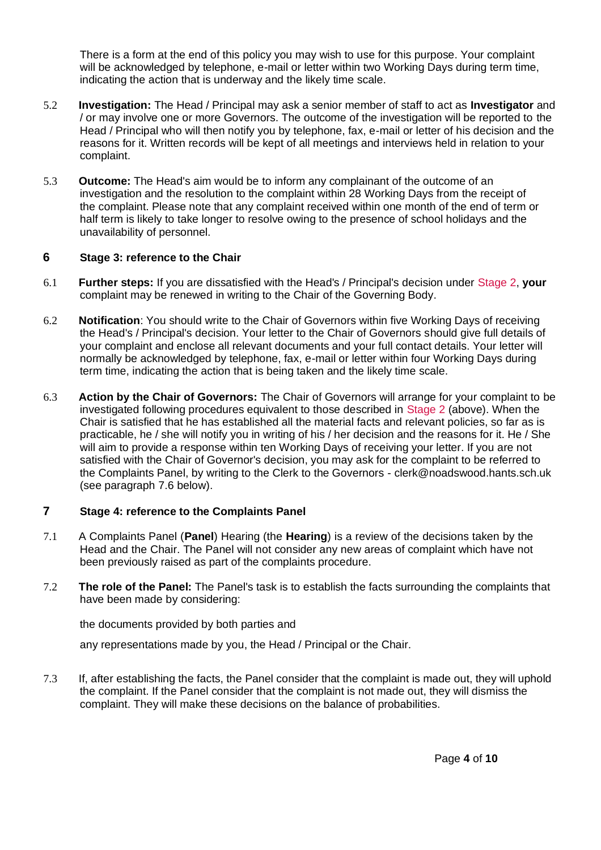<span id="page-3-0"></span>There is a form at the end of this policy you may wish to use for this purpose. Your complaint will be acknowledged by telephone, e-mail or letter within two Working Days during term time, indicating the action that is underway and the likely time scale.

- 5.2 **Investigation:** The Head / Principal may ask a senior member of staff to act as **Investigator** and / or may involve one or more Governors. The outcome of the investigation will be reported to the Head / Principal who will then notify you by telephone, fax, e-mail or letter of his decision and the reasons for it. Written records will be kept of all meetings and interviews held in relation to your complaint.
- 5.3 **Outcome:** The Head's aim would be to inform any complainant of the outcome of an investigation and the resolution to the complaint within 28 Working Days from the receipt of the complaint. Please note that any complaint received within one month of the end of term or half term is likely to take longer to resolve owing to the presence of school holidays and the unavailability of personnel.

#### **6 Stage 3: reference to the Chair**

- 6.1 **Further steps:** If you are dissatisfied with the Head's / Principal's decision under [Stage 2,](#page-2-0) **your**  complaint may be renewed in writing to the Chair of the Governing Body.
- 6.2 **Notification**: You should write to the Chair of Governors within five Working Days of receiving the Head's / Principal's decision. Your letter to the Chair of Governors should give full details of your complaint and enclose all relevant documents and your full contact details. Your letter will normally be acknowledged by telephone, fax, e-mail or letter within four Working Days during term time, indicating the action that is being taken and the likely time scale.
- 6.3 **Action by the Chair of Governors:** The Chair of Governors will arrange for your complaint to be investigated following procedures equivalent to those described in [Stage 2](#page-2-0) (above). When the Chair is satisfied that he has established all the material facts and relevant policies, so far as is practicable, he / she will notify you in writing of his / her decision and the reasons for it. He / She will aim to provide a response within ten Working Days of receiving your letter. If you are not satisfied with the Chair of Governor's decision, you may ask for the complaint to be referred to the Complaints Panel, by writing to the Clerk to the Governors - [clerk@noadswood.hants.sch.uk](mailto:clerk@noadswood.hants.sch.uk) (see paragraph [7.6 b](#page-4-0)elow).

#### **7 Stage 4: reference to the Complaints Panel**

- 7.1 A Complaints Panel (**Panel**) Hearing (the **Hearing**) is a review of the decisions taken by the Head and the Chair. The Panel will not consider any new areas of complaint which have not been previously raised as part of the complaints procedure.
- 7.2 **The role of the Panel:** The Panel's task is to establish the facts surrounding the complaints that have been made by considering:

the documents provided by both parties and

any representations made by you, the Head / Principal or the Chair.

7.3 If, after establishing the facts, the Panel consider that the complaint is made out, they will uphold the complaint. If the Panel consider that the complaint is not made out, they will dismiss the complaint. They will make these decisions on the balance of probabilities.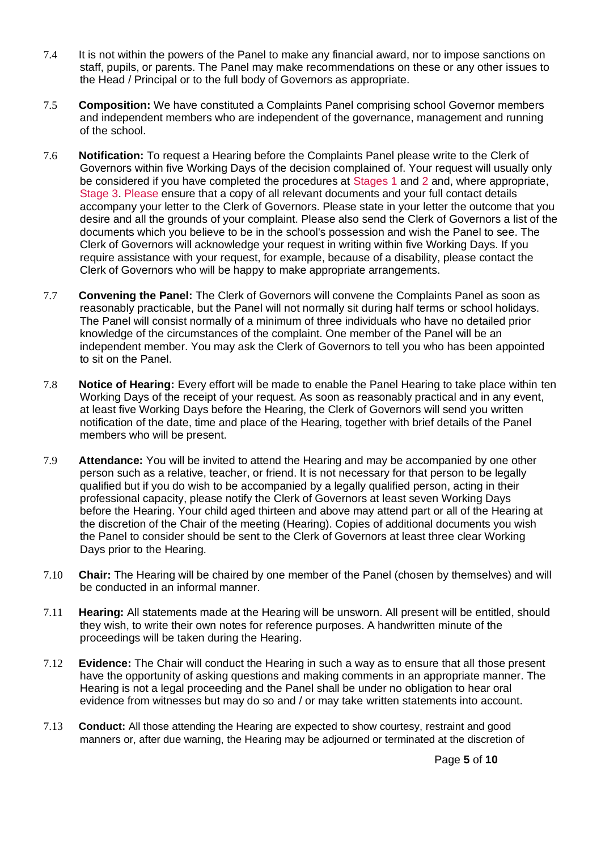- <span id="page-4-0"></span>7.4 It is not within the powers of the Panel to make any financial award, nor to impose sanctions on staff, pupils, or parents. The Panel may make recommendations on these or any other issues to the Head / Principal or to the full body of Governors as appropriate.
- 7.5 **Composition:** We have constituted a Complaints Panel comprising school Governor members and independent members who are independent of the governance, management and running of the school.
- 7.6 **Notification:** To request a Hearing before the Complaints Panel please write to the Clerk of Governors within five Working Days of the decision complained of. Your request will usually only be considered if you have completed the procedures at [Stages 1](#page-2-0) and [2](#page-2-0) and, where appropriate, [Stage 3. P](#page-3-0)lease ensure that a copy of all relevant documents and your full contact details accompany your letter to the Clerk of Governors. Please state in your letter the outcome that you desire and all the grounds of your complaint. Please also send the Clerk of Governors a list of the documents which you believe to be in the school's possession and wish the Panel to see. The Clerk of Governors will acknowledge your request in writing within five Working Days. If you require assistance with your request, for example, because of a disability, please contact the Clerk of Governors who will be happy to make appropriate arrangements.
- 7.7 **Convening the Panel:** The Clerk of Governors will convene the Complaints Panel as soon as reasonably practicable, but the Panel will not normally sit during half terms or school holidays. The Panel will consist normally of a minimum of three individuals who have no detailed prior knowledge of the circumstances of the complaint. One member of the Panel will be an independent member. You may ask the Clerk of Governors to tell you who has been appointed to sit on the Panel.
- 7.8 **Notice of Hearing:** Every effort will be made to enable the Panel Hearing to take place within ten Working Days of the receipt of your request. As soon as reasonably practical and in any event, at least five Working Days before the Hearing, the Clerk of Governors will send you written notification of the date, time and place of the Hearing, together with brief details of the Panel members who will be present.
- 7.9 **Attendance:** You will be invited to attend the Hearing and may be accompanied by one other person such as a relative, teacher, or friend. It is not necessary for that person to be legally qualified but if you do wish to be accompanied by a legally qualified person, acting in their professional capacity, please notify the Clerk of Governors at least seven Working Days before the Hearing. Your child aged thirteen and above may attend part or all of the Hearing at the discretion of the Chair of the meeting (Hearing). Copies of additional documents you wish the Panel to consider should be sent to the Clerk of Governors at least three clear Working Days prior to the Hearing.
- 7.10 **Chair:** The Hearing will be chaired by one member of the Panel (chosen by themselves) and will be conducted in an informal manner.
- 7.11 **Hearing:** All statements made at the Hearing will be unsworn. All present will be entitled, should they wish, to write their own notes for reference purposes. A handwritten minute of the proceedings will be taken during the Hearing.
- 7.12 **Evidence:** The Chair will conduct the Hearing in such a way as to ensure that all those present have the opportunity of asking questions and making comments in an appropriate manner. The Hearing is not a legal proceeding and the Panel shall be under no obligation to hear oral evidence from witnesses but may do so and / or may take written statements into account.
- 7.13 **Conduct:** All those attending the Hearing are expected to show courtesy, restraint and good manners or, after due warning, the Hearing may be adjourned or terminated at the discretion of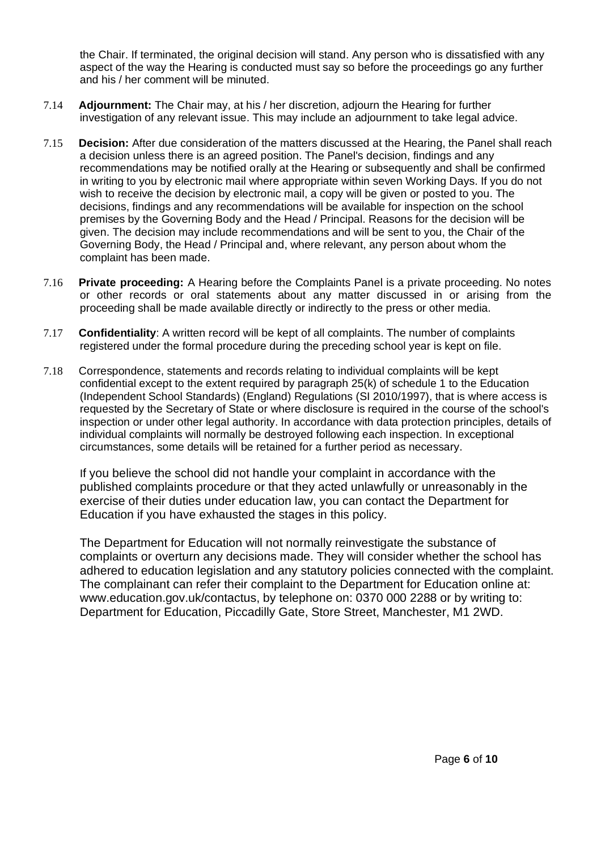the Chair. If terminated, the original decision will stand. Any person who is dissatisfied with any aspect of the way the Hearing is conducted must say so before the proceedings go any further and his / her comment will be minuted.

- 7.14 **Adjournment:** The Chair may, at his / her discretion, adjourn the Hearing for further investigation of any relevant issue. This may include an adjournment to take legal advice.
- 7.15 **Decision:** After due consideration of the matters discussed at the Hearing, the Panel shall reach a decision unless there is an agreed position. The Panel's decision, findings and any recommendations may be notified orally at the Hearing or subsequently and shall be confirmed in writing to you by electronic mail where appropriate within seven Working Days. If you do not wish to receive the decision by electronic mail, a copy will be given or posted to you. The decisions, findings and any recommendations will be available for inspection on the school premises by the Governing Body and the Head / Principal. Reasons for the decision will be given. The decision may include recommendations and will be sent to you, the Chair of the Governing Body, the Head / Principal and, where relevant, any person about whom the complaint has been made.
- 7.16 **Private proceeding:** A Hearing before the Complaints Panel is a private proceeding. No notes or other records or oral statements about any matter discussed in or arising from the proceeding shall be made available directly or indirectly to the press or other media.
- 7.17 **Confidentiality**: A written record will be kept of all complaints. The number of complaints registered under the formal procedure during the preceding school year is kept on file.
- 7.18 Correspondence, statements and records relating to individual complaints will be kept confidential except to the extent required by paragraph 25(k) of schedule 1 to the Education (Independent School Standards) (England) Regulations (SI 2010/1997), that is where access is requested by the Secretary of State or where disclosure is required in the course of the school's inspection or under other legal authority. In accordance with data protection principles, details of individual complaints will normally be destroyed following each inspection. In exceptional circumstances, some details will be retained for a further period as necessary.

If you believe the school did not handle your complaint in accordance with the published complaints procedure or that they acted unlawfully or unreasonably in the exercise of their duties under education law, you can contact the Department for Education if you have exhausted the stages in this policy.

The Department for Education will not normally reinvestigate the substance of complaints or overturn any decisions made. They will consider whether the school has adhered to education legislation and any statutory policies connected with the complaint. The complainant can refer their complaint to the Department for Education online at: www.education.gov.uk/contactus, by telephone on: 0370 000 2288 or by writing to: Department for Education, Piccadilly Gate, Store Street, Manchester, M1 2WD.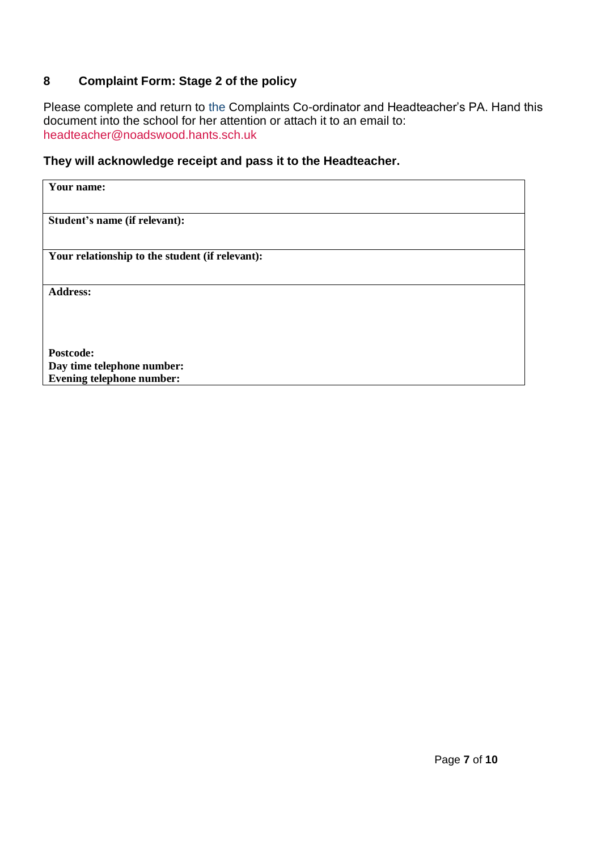# **8 Complaint Form: Stage 2 of the policy**

Please complete and return to the Complaints Co-ordinator and Headteacher's PA. Hand this document into the school for her attention or attach it to an email to: [headteacher@noadswood.hants.sch.uk](mailto:headteacher@noadswood.hants.sch.uk)

### **They will acknowledge receipt and pass it to the Headteacher.**

| Your name:                                      |
|-------------------------------------------------|
|                                                 |
|                                                 |
|                                                 |
| Student's name (if relevant):                   |
|                                                 |
|                                                 |
|                                                 |
| Your relationship to the student (if relevant): |
|                                                 |
|                                                 |
| <b>Address:</b>                                 |
|                                                 |
|                                                 |
|                                                 |
|                                                 |
|                                                 |
|                                                 |
| Postcode:                                       |
| Day time telephone number:                      |
| <b>Evening telephone number:</b>                |
|                                                 |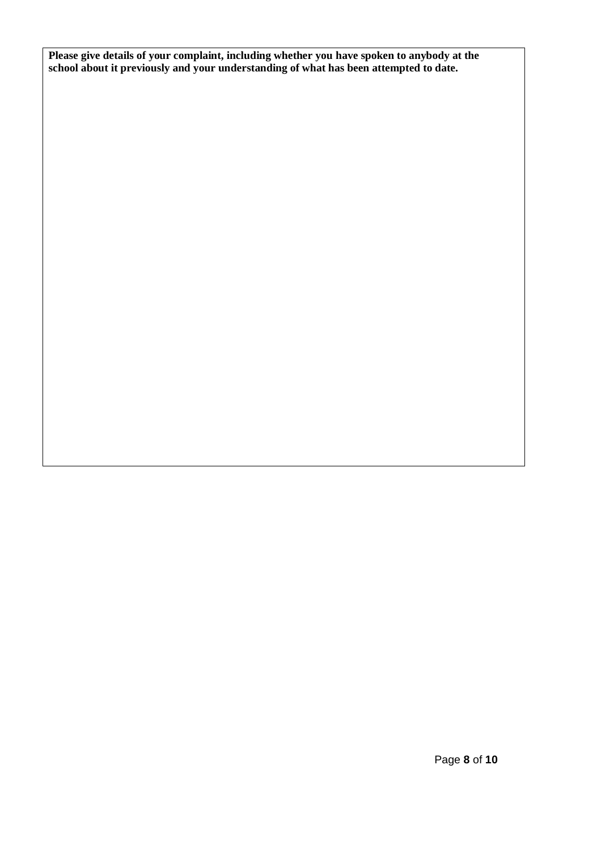**Please give details of your complaint, including whether you have spoken to anybody at the school about it previously and your understanding of what has been attempted to date.**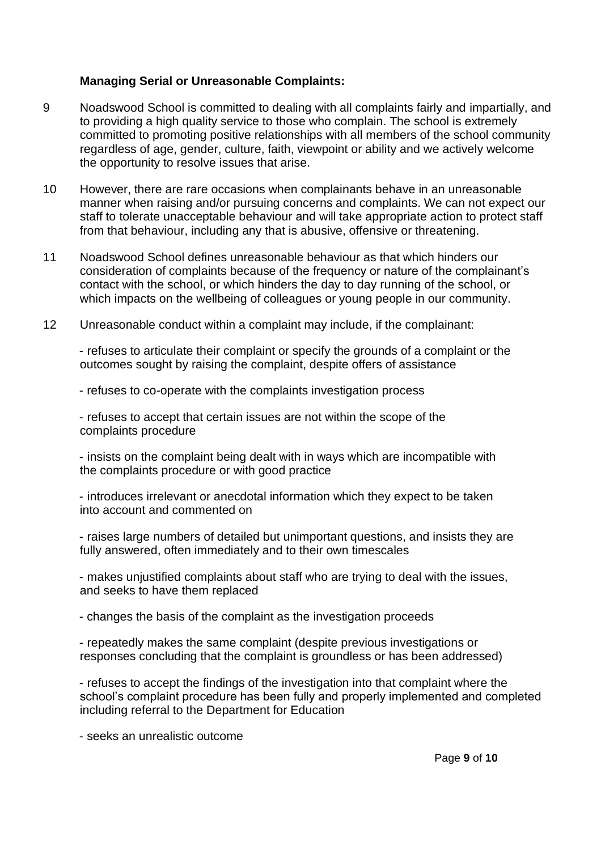## **Managing Serial or Unreasonable Complaints:**

- 9 Noadswood School is committed to dealing with all complaints fairly and impartially, and to providing a high quality service to those who complain. The school is extremely committed to promoting positive relationships with all members of the school community regardless of age, gender, culture, faith, viewpoint or ability and we actively welcome the opportunity to resolve issues that arise.
- 10 However, there are rare occasions when complainants behave in an unreasonable manner when raising and/or pursuing concerns and complaints. We can not expect our staff to tolerate unacceptable behaviour and will take appropriate action to protect staff from that behaviour, including any that is abusive, offensive or threatening.
- 11 Noadswood School defines unreasonable behaviour as that which hinders our consideration of complaints because of the frequency or nature of the complainant's contact with the school, or which hinders the day to day running of the school, or which impacts on the wellbeing of colleagues or young people in our community.
- 12 Unreasonable conduct within a complaint may include, if the complainant:

- refuses to articulate their complaint or specify the grounds of a complaint or the outcomes sought by raising the complaint, despite offers of assistance

- refuses to co-operate with the complaints investigation process

- refuses to accept that certain issues are not within the scope of the complaints procedure

- insists on the complaint being dealt with in ways which are incompatible with the complaints procedure or with good practice

- introduces irrelevant or anecdotal information which they expect to be taken into account and commented on

- raises large numbers of detailed but unimportant questions, and insists they are fully answered, often immediately and to their own timescales

- makes unjustified complaints about staff who are trying to deal with the issues, and seeks to have them replaced

- changes the basis of the complaint as the investigation proceeds

- repeatedly makes the same complaint (despite previous investigations or responses concluding that the complaint is groundless or has been addressed)

- refuses to accept the findings of the investigation into that complaint where the school's complaint procedure has been fully and properly implemented and completed including referral to the Department for Education

- seeks an unrealistic outcome